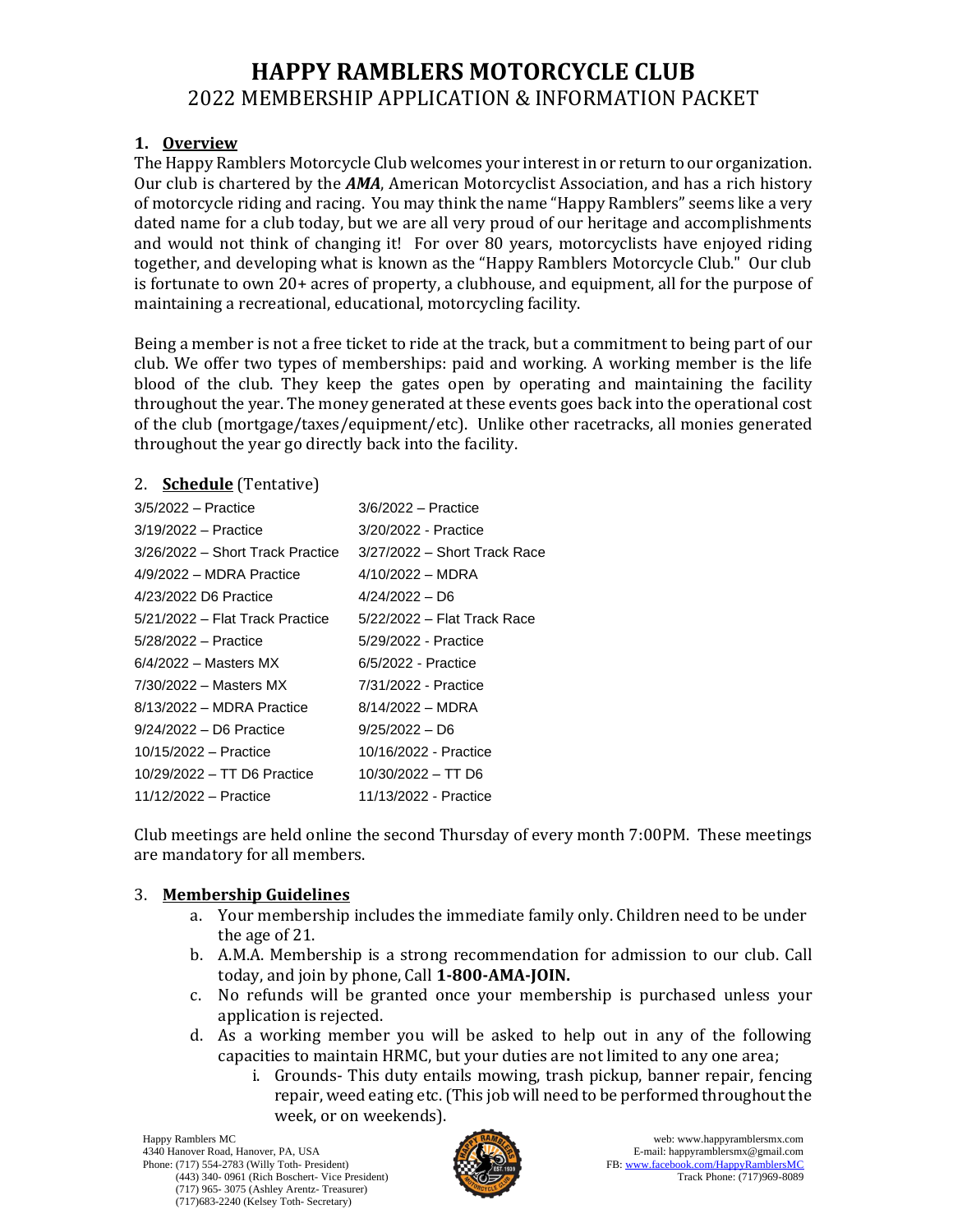# **HAPPY RAMBLERS MOTORCYCLE CLUB** 2022 MEMBERSHIP APPLICATION & INFORMATION PACKET

### **1. Overview**

The Happy Ramblers Motorcycle Club welcomes your interest in or return to our organization. Our club is chartered by the *AMA*, American Motorcyclist Association, and has a rich history of motorcycle riding and racing. You may think the name "Happy Ramblers" seems like a very dated name for a club today, but we are all very proud of our heritage and accomplishments and would not think of changing it! For over 80 years, motorcyclists have enjoyed riding together, and developing what is known as the "Happy Ramblers Motorcycle Club." Our club is fortunate to own 20+ acres of property, a clubhouse, and equipment, all for the purpose of maintaining a recreational, educational, motorcycling facility.

Being a member is not a free ticket to ride at the track, but a commitment to being part of our club. We offer two types of memberships: paid and working. A working member is the life blood of the club. They keep the gates open by operating and maintaining the facility throughout the year. The money generated at these events goes back into the operational cost of the club (mortgage/taxes/equipment/etc). Unlike other racetracks, all monies generated throughout the year go directly back into the facility.

#### 2. **Schedule** (Tentative)

| $3/5/2022$ - Practice            | $3/6/2022$ - Practice        |
|----------------------------------|------------------------------|
| 3/19/2022 - Practice             | 3/20/2022 - Practice         |
| 3/26/2022 – Short Track Practice | 3/27/2022 – Short Track Race |
| 4/9/2022 - MDRA Practice         | $4/10/2022 - MDRA$           |
| 4/23/2022 D6 Practice            | $4/24/2022 - D6$             |
| 5/21/2022 – Flat Track Practice  | 5/22/2022 - Flat Track Race  |
| 5/28/2022 - Practice             | 5/29/2022 - Practice         |
| $6/4/2022$ – Masters MX          | 6/5/2022 - Practice          |
| $7/30/2022$ - Masters MX         | 7/31/2022 - Practice         |
| 8/13/2022 - MDRA Practice        | $8/14/2022 - MDRA$           |
| $9/24/2022 - D6$ Practice        | $9/25/2022 - D6$             |
| 10/15/2022 - Practice            | 10/16/2022 - Practice        |
| 10/29/2022 - TT D6 Practice      | 10/30/2022 - TT D6           |
| 11/12/2022 – Practice            | 11/13/2022 - Practice        |

Club meetings are held online the second Thursday of every month 7:00PM. These meetings are mandatory for all members.

### 3. **Membership Guidelines**

- a. Your membership includes the immediate family only. Children need to be under the age of 21.
- b. A.M.A. Membership is a strong recommendation for admission to our club. Call today, and join by phone, Call **1-800-AMA-JOIN.**
- c. No refunds will be granted once your membership is purchased unless your application is rejected.
- d. As a working member you will be asked to help out in any of the following capacities to maintain HRMC, but your duties are not limited to any one area;
	- i. Grounds- This duty entails mowing, trash pickup, banner repair, fencing repair, weed eating etc. (This job will need to be performed throughout the week, or on weekends).

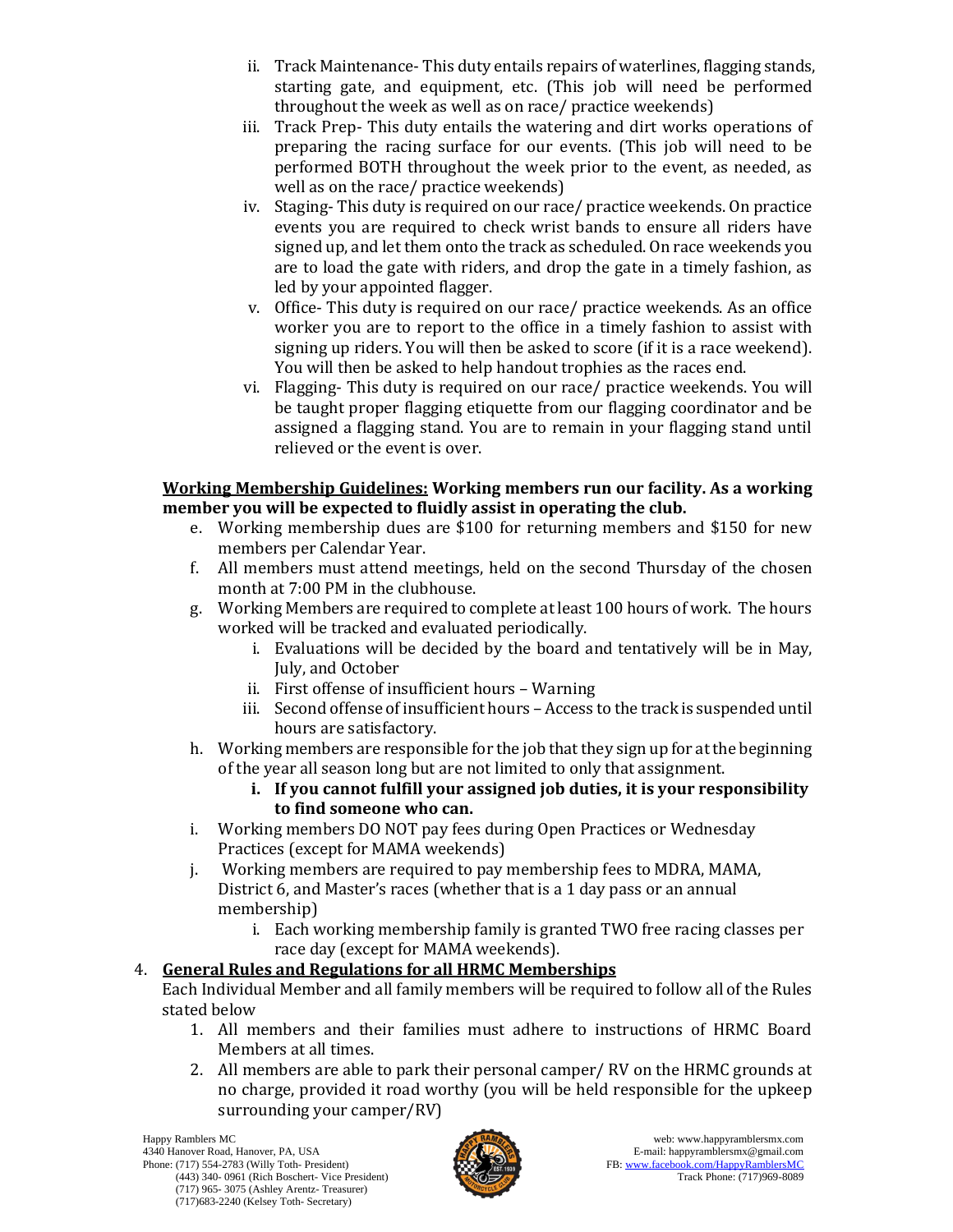- ii. Track Maintenance- This duty entails repairs of waterlines, flagging stands, starting gate, and equipment, etc. (This job will need be performed throughout the week as well as on race/ practice weekends)
- iii. Track Prep- This duty entails the watering and dirt works operations of preparing the racing surface for our events. (This job will need to be performed BOTH throughout the week prior to the event, as needed, as well as on the race/ practice weekends)
- iv. Staging- This duty is required on our race/ practice weekends. On practice events you are required to check wrist bands to ensure all riders have signed up, and let them onto the track as scheduled. On race weekends you are to load the gate with riders, and drop the gate in a timely fashion, as led by your appointed flagger.
- v. Office- This duty is required on our race/ practice weekends. As an office worker you are to report to the office in a timely fashion to assist with signing up riders. You will then be asked to score (if it is a race weekend). You will then be asked to help handout trophies as the races end.
- vi. Flagging- This duty is required on our race/ practice weekends. You will be taught proper flagging etiquette from our flagging coordinator and be assigned a flagging stand. You are to remain in your flagging stand until relieved or the event is over.

#### **Working Membership Guidelines: Working members run our facility. As a working member you will be expected to fluidly assist in operating the club.**

- e. Working membership dues are \$100 for returning members and \$150 for new members per Calendar Year.
- f. All members must attend meetings, held on the second Thursday of the chosen month at 7:00 PM in the clubhouse.
- g. Working Members are required to complete at least 100 hours of work. The hours worked will be tracked and evaluated periodically.
	- i. Evaluations will be decided by the board and tentatively will be in May, July, and October
	- ii. First offense of insufficient hours Warning
	- iii. Second offense of insufficient hours Access to the track is suspended until hours are satisfactory.
- h. Working members are responsible for the job that they sign up for at the beginning of the year all season long but are not limited to only that assignment.
	- **i. If you cannot fulfill your assigned job duties, it is your responsibility to find someone who can.**
- i. Working members DO NOT pay fees during Open Practices or Wednesday Practices (except for MAMA weekends)
- j. Working members are required to pay membership fees to MDRA, MAMA, District 6, and Master's races (whether that is a 1 day pass or an annual membership)
	- i. Each working membership family is granted TWO free racing classes per race day (except for MAMA weekends).

## 4. **General Rules and Regulations for all HRMC Memberships**

Each Individual Member and all family members will be required to follow all of the Rules stated below

- 1. All members and their families must adhere to instructions of HRMC Board Members at all times.
- 2. All members are able to park their personal camper/ RV on the HRMC grounds at no charge, provided it road worthy (you will be held responsible for the upkeep surrounding your camper/RV)

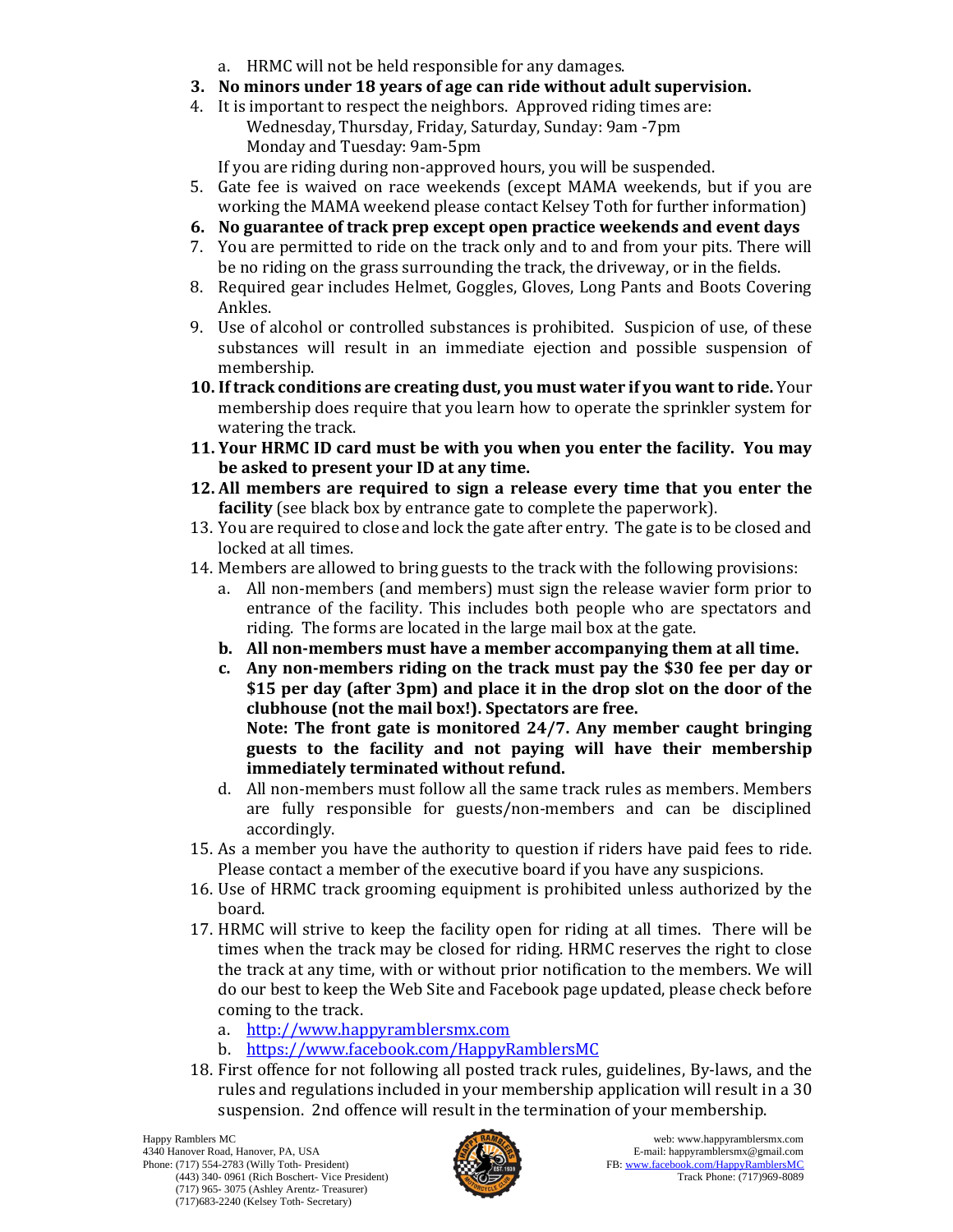- a. HRMC will not be held responsible for any damages.
- **3. No minors under 18 years of age can ride without adult supervision.**
- 4. It is important to respect the neighbors. Approved riding times are: Wednesday, Thursday, Friday, Saturday, Sunday: 9am -7pm Monday and Tuesday: 9am-5pm

If you are riding during non-approved hours, you will be suspended.

- 5. Gate fee is waived on race weekends (except MAMA weekends, but if you are working the MAMA weekend please contact Kelsey Toth for further information)
- **6. No guarantee of track prep except open practice weekends and event days**
- 7. You are permitted to ride on the track only and to and from your pits. There will be no riding on the grass surrounding the track, the driveway, or in the fields.
- 8. Required gear includes Helmet, Goggles, Gloves, Long Pants and Boots Covering Ankles.
- 9. Use of alcohol or controlled substances is prohibited. Suspicion of use, of these substances will result in an immediate ejection and possible suspension of membership.
- **10. If track conditions are creating dust, you must water if you want to ride.** Your membership does require that you learn how to operate the sprinkler system for watering the track.
- **11. Your HRMC ID card must be with you when you enter the facility. You may be asked to present your ID at any time.**
- **12. All members are required to sign a release every time that you enter the facility** (see black box by entrance gate to complete the paperwork).
- 13. You are required to close and lock the gate after entry. The gate is to be closed and locked at all times.
- 14. Members are allowed to bring guests to the track with the following provisions:
	- a. All non-members (and members) must sign the release wavier form prior to entrance of the facility. This includes both people who are spectators and riding. The forms are located in the large mail box at the gate.
	- **b. All non-members must have a member accompanying them at all time.**
	- **c. Any non-members riding on the track must pay the \$30 fee per day or \$15 per day (after 3pm) and place it in the drop slot on the door of the clubhouse (not the mail box!). Spectators are free.**

**Note: The front gate is monitored 24/7. Any member caught bringing guests to the facility and not paying will have their membership immediately terminated without refund.** 

- d. All non-members must follow all the same track rules as members. Members are fully responsible for guests/non-members and can be disciplined accordingly.
- 15. As a member you have the authority to question if riders have paid fees to ride. Please contact a member of the executive board if you have any suspicions.
- 16. Use of HRMC track grooming equipment is prohibited unless authorized by the board.
- 17. HRMC will strive to keep the facility open for riding at all times. There will be times when the track may be closed for riding. HRMC reserves the right to close the track at any time, with or without prior notification to the members. We will do our best to keep the Web Site and Facebook page updated, please check before coming to the track.
	- a. [http://www.happyramblersmx.com](http://www.happyramblersmx.com/)
	- b. <https://www.facebook.com/HappyRamblersMC>
- 18. First offence for not following all posted track rules, guidelines, By-laws, and the rules and regulations included in your membership application will result in a 30 suspension. 2nd offence will result in the termination of your membership.

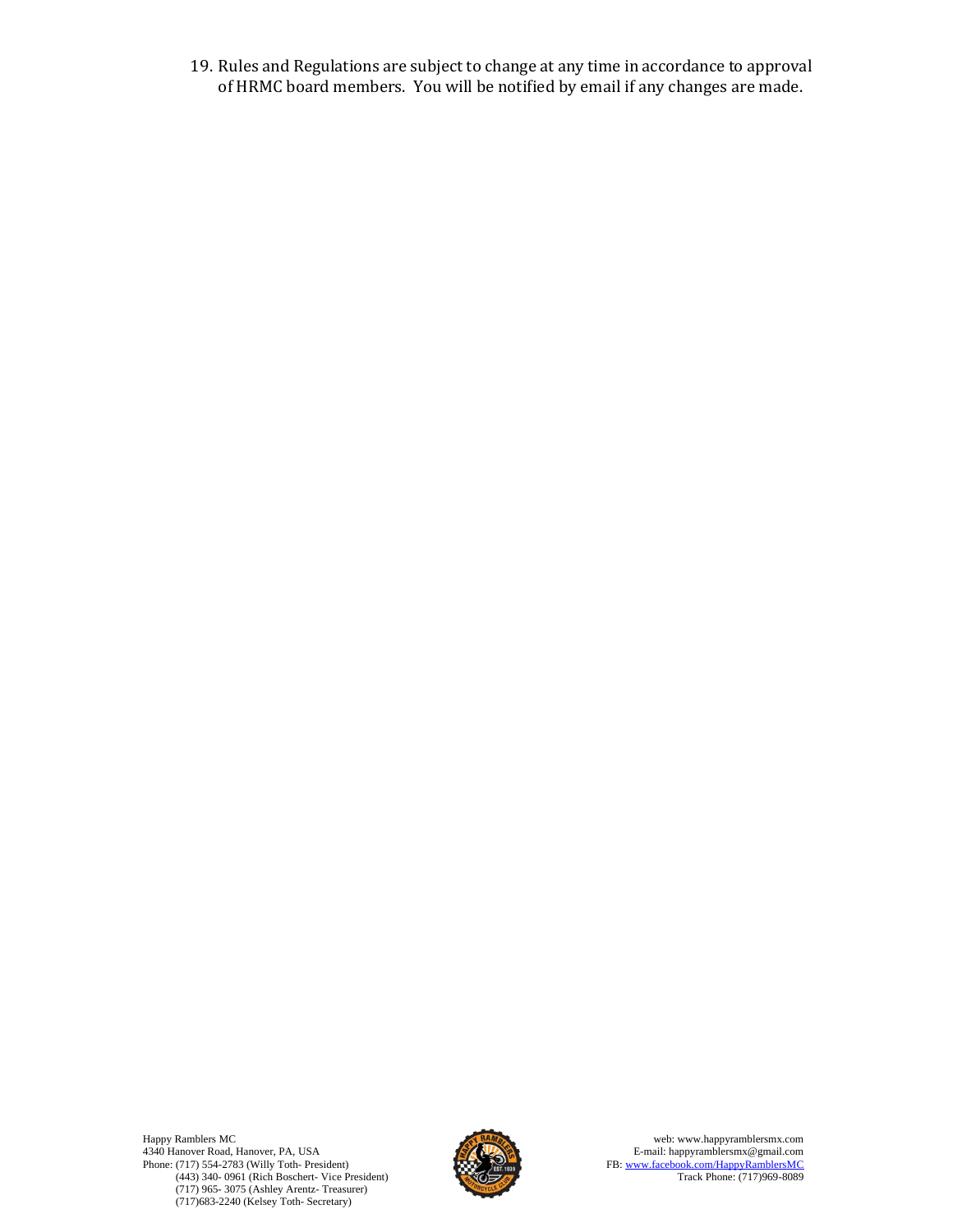19. Rules and Regulations are subject to change at any time in accordance to approval of HRMC board members. You will be notified by email if any changes are made.

Happy Ramblers MC 4340 Hanover Road, Hanover, PA, USA Phone: (717) 554-2783 (Willy Toth- President) (443) 340- 0961 (Rich Boschert- Vice President) (717) 965- 3075 (Ashley Arentz- Treasurer) (717)683-2240 (Kelsey Toth- Secretary)



web: www.happyramblersmx.com E-mail: happyramblersmx@gmail.com FB[: www.facebook.com/HappyRamblersMC](http://www.facebook.com/HappyRamblersMC) Track Phone: (717)969-8089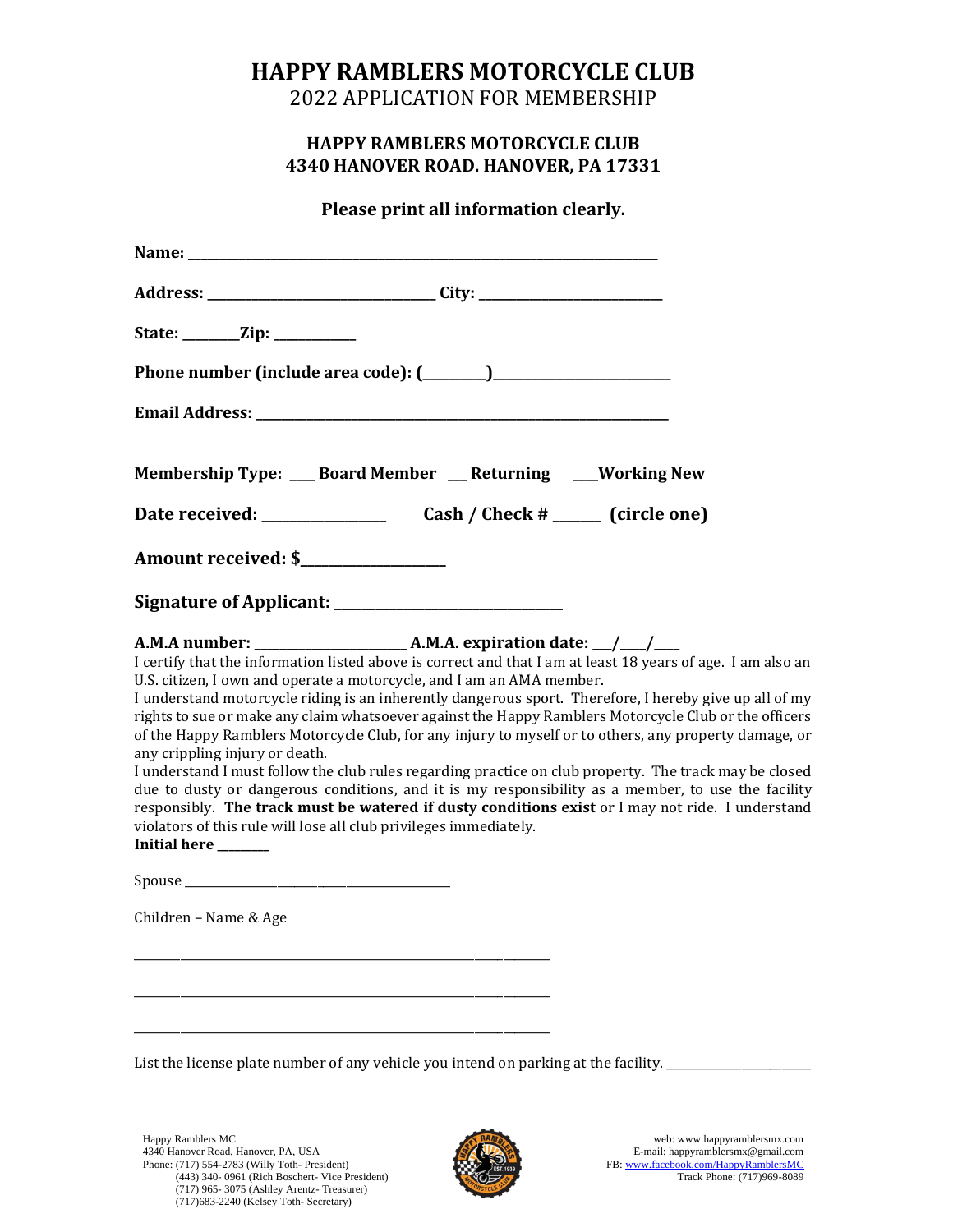# **HAPPY RAMBLERS MOTORCYCLE CLUB**

2022 APPLICATION FOR MEMBERSHIP

## **HAPPY RAMBLERS MOTORCYCLE CLUB 4340 HANOVER ROAD. HANOVER, PA 17331**

**Please print all information clearly.**

| State: ________Zip: ____________                                                                                                                                                                                                                                                                                                                                                                                                                                                                                                                                                                                                                                                                                                                                                                                                                                                                                                                                                            |  |
|---------------------------------------------------------------------------------------------------------------------------------------------------------------------------------------------------------------------------------------------------------------------------------------------------------------------------------------------------------------------------------------------------------------------------------------------------------------------------------------------------------------------------------------------------------------------------------------------------------------------------------------------------------------------------------------------------------------------------------------------------------------------------------------------------------------------------------------------------------------------------------------------------------------------------------------------------------------------------------------------|--|
|                                                                                                                                                                                                                                                                                                                                                                                                                                                                                                                                                                                                                                                                                                                                                                                                                                                                                                                                                                                             |  |
|                                                                                                                                                                                                                                                                                                                                                                                                                                                                                                                                                                                                                                                                                                                                                                                                                                                                                                                                                                                             |  |
| Membership Type: __ Board Member __ Returning ___ Working New                                                                                                                                                                                                                                                                                                                                                                                                                                                                                                                                                                                                                                                                                                                                                                                                                                                                                                                               |  |
|                                                                                                                                                                                                                                                                                                                                                                                                                                                                                                                                                                                                                                                                                                                                                                                                                                                                                                                                                                                             |  |
| Amount received: \$_________________                                                                                                                                                                                                                                                                                                                                                                                                                                                                                                                                                                                                                                                                                                                                                                                                                                                                                                                                                        |  |
|                                                                                                                                                                                                                                                                                                                                                                                                                                                                                                                                                                                                                                                                                                                                                                                                                                                                                                                                                                                             |  |
| I certify that the information listed above is correct and that I am at least 18 years of age. I am also an<br>U.S. citizen, I own and operate a motorcycle, and I am an AMA member.<br>I understand motorcycle riding is an inherently dangerous sport. Therefore, I hereby give up all of my<br>rights to sue or make any claim whatsoever against the Happy Ramblers Motorcycle Club or the officers<br>of the Happy Ramblers Motorcycle Club, for any injury to myself or to others, any property damage, or<br>any crippling injury or death.<br>I understand I must follow the club rules regarding practice on club property. The track may be closed<br>due to dusty or dangerous conditions, and it is my responsibility as a member, to use the facility<br>responsibly. The track must be watered if dusty conditions exist or I may not ride. I understand<br>violators of this rule will lose all club privileges immediately.<br>Initial here ______<br>Children - Name & Age |  |

List the license plate number of any vehicle you intend on parking at the facility. \_

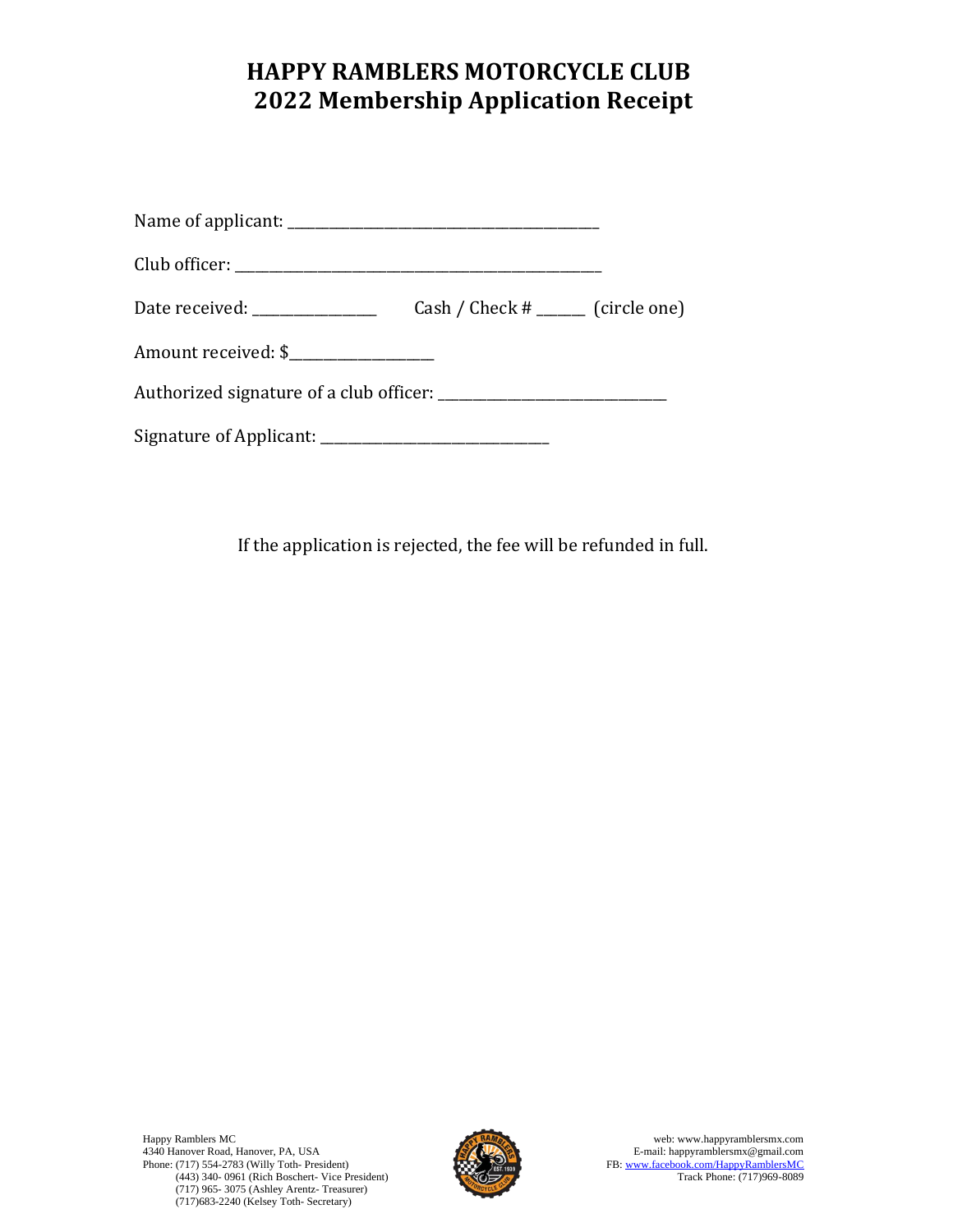# **HAPPY RAMBLERS MOTORCYCLE CLUB 2022 Membership Application Receipt**

| Date received: _________________     | Cash / Check $#$ ________ (circle one) |  |
|--------------------------------------|----------------------------------------|--|
| Amount received: \$_________________ |                                        |  |
|                                      |                                        |  |
|                                      |                                        |  |

If the application is rejected, the fee will be refunded in full.